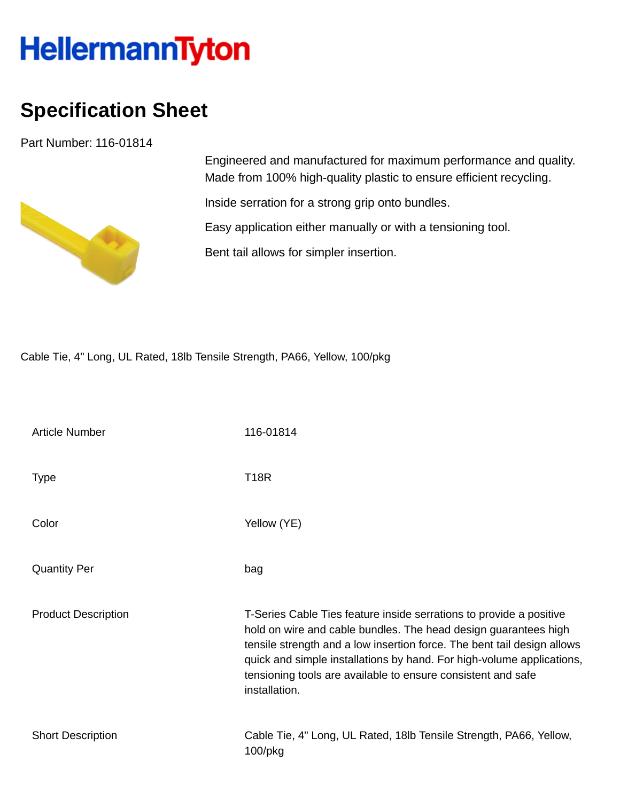## **HellermannTyton**

## **Specification Sheet**

Part Number: 116-01814



Engineered and manufactured for maximum performance and quality. Made from 100% high-quality plastic to ensure efficient recycling.

Inside serration for a strong grip onto bundles.

Easy application either manually or with a tensioning tool.

Bent tail allows for simpler insertion.

Cable Tie, 4" Long, UL Rated, 18lb Tensile Strength, PA66, Yellow, 100/pkg

| <b>Article Number</b>      | 116-01814                                                                                                                                                                                                                                                                                                                                                                   |
|----------------------------|-----------------------------------------------------------------------------------------------------------------------------------------------------------------------------------------------------------------------------------------------------------------------------------------------------------------------------------------------------------------------------|
| <b>Type</b>                | <b>T18R</b>                                                                                                                                                                                                                                                                                                                                                                 |
| Color                      | Yellow (YE)                                                                                                                                                                                                                                                                                                                                                                 |
| <b>Quantity Per</b>        | bag                                                                                                                                                                                                                                                                                                                                                                         |
| <b>Product Description</b> | T-Series Cable Ties feature inside serrations to provide a positive<br>hold on wire and cable bundles. The head design guarantees high<br>tensile strength and a low insertion force. The bent tail design allows<br>quick and simple installations by hand. For high-volume applications,<br>tensioning tools are available to ensure consistent and safe<br>installation. |
| <b>Short Description</b>   | Cable Tie, 4" Long, UL Rated, 18lb Tensile Strength, PA66, Yellow,<br>$100$ /pkg                                                                                                                                                                                                                                                                                            |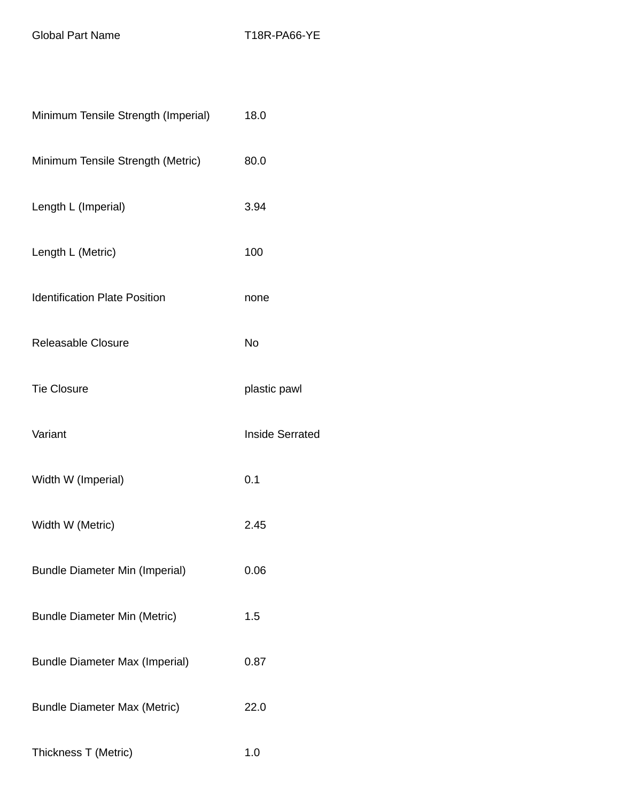Global Part Name T18R-PA66-YE

| Minimum Tensile Strength (Imperial)   | 18.0                   |
|---------------------------------------|------------------------|
| Minimum Tensile Strength (Metric)     | 80.0                   |
| Length L (Imperial)                   | 3.94                   |
| Length L (Metric)                     | 100                    |
| <b>Identification Plate Position</b>  | none                   |
| Releasable Closure                    | No                     |
| <b>Tie Closure</b>                    | plastic pawl           |
| Variant                               | <b>Inside Serrated</b> |
| Width W (Imperial)                    | 0.1                    |
| Width W (Metric)                      | 2.45                   |
| <b>Bundle Diameter Min (Imperial)</b> | 0.06                   |
| <b>Bundle Diameter Min (Metric)</b>   | 1.5                    |
| <b>Bundle Diameter Max (Imperial)</b> | 0.87                   |
| <b>Bundle Diameter Max (Metric)</b>   | 22.0                   |
| Thickness T (Metric)                  | 1.0                    |